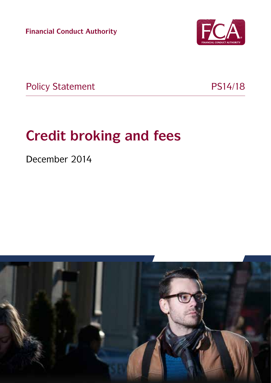**Financial Conduct Authority**



Policy Statement PS14/18

# **Credit broking and fees**

December 2014

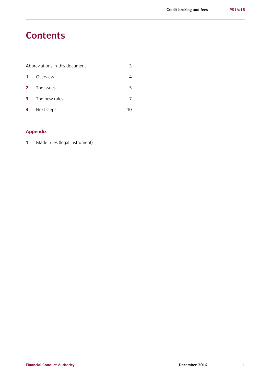# **Contents**

| Abbreviations in this document |               |  |
|--------------------------------|---------------|--|
| $\mathbf{1}$                   | Overview      |  |
| $2^{\circ}$                    | The issues    |  |
| 3                              | The new rules |  |
| $\overline{4}$                 | Next steps    |  |

#### **Appendix**

**1** Made rules (legal instrument)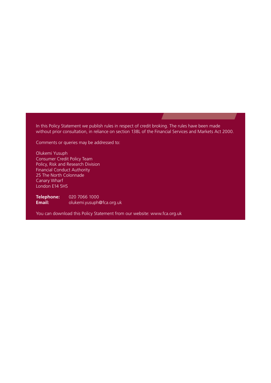In this Policy Statement we publish rules in respect of credit broking. The rules have been made without prior consultation, in reliance on section 138L of the Financial Services and Markets Act 2000.

Comments or queries may be addressed to:

Olukemi Yusuph Consumer Credit Policy Team Policy, Risk and Research Division Financial Conduct Authority 25 The North Colonnade Canary Wharf London E14 5HS

**Telephone:** 020 7066 1000<br>**Email:** olukemi.yusuph **Email:** olukemi.yusuph@fca.org.uk

You can download this Policy Statement from our website: www.fca.org.uk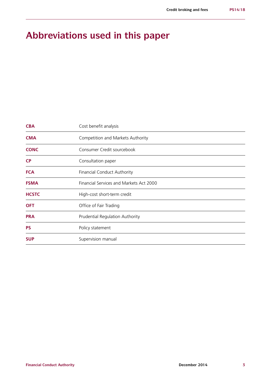# **Abbreviations used in this paper**

| <b>CBA</b>   | Cost benefit analysis                   |  |  |
|--------------|-----------------------------------------|--|--|
| <b>CMA</b>   | Competition and Markets Authority       |  |  |
| <b>CONC</b>  | Consumer Credit sourcebook              |  |  |
| <b>CP</b>    | Consultation paper                      |  |  |
| <b>FCA</b>   | <b>Financial Conduct Authority</b>      |  |  |
| <b>FSMA</b>  | Financial Services and Markets Act 2000 |  |  |
| <b>HCSTC</b> | High-cost short-term credit             |  |  |
| <b>OFT</b>   | Office of Fair Trading                  |  |  |
| <b>PRA</b>   | Prudential Regulation Authority         |  |  |
| <b>PS</b>    | Policy statement                        |  |  |
| <b>SUP</b>   | Supervision manual                      |  |  |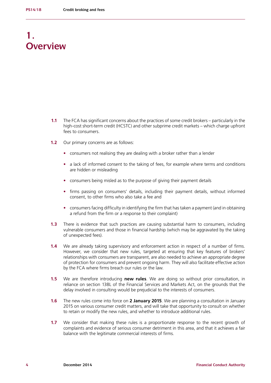# **1. Overview**

- **1.1** The FCA has significant concerns about the practices of some credit brokers particularly in the high-cost short-term credit (HCSTC) and other subprime credit markets – which charge upfront fees to consumers.
- **1.2** Our primary concerns are as follows:
	- **•** consumers not realising they are dealing with a broker rather than a lender
	- **•** a lack of informed consent to the taking of fees, for example where terms and conditions are hidden or misleading
	- **•** consumers being misled as to the purpose of giving their payment details
	- **•** firms passing on consumers' details, including their payment details, without informed consent, to other firms who also take a fee and
	- **•** consumers facing difficulty in identifying the firm that has taken a payment (and in obtaining a refund from the firm or a response to their complaint)
- **1.3** There is evidence that such practices are causing substantial harm to consumers, including vulnerable consumers and those in financial hardship (which may be aggravated by the taking of unexpected fees).
- **1.4** We are already taking supervisory and enforcement action in respect of a number of firms. However, we consider that new rules, targeted at ensuring that key features of brokers' relationships with consumers are transparent, are also needed to achieve an appropriate degree of protection for consumers and prevent ongoing harm. They will also facilitate effective action by the FCA where firms breach our rules or the law.
- **1.5** We are therefore introducing **new rules**. We are doing so without prior consultation, in reliance on section 138L of the Financial Services and Markets Act, on the grounds that the delay involved in consulting would be prejudicial to the interests of consumers.
- **1.6** The new rules come into force on **2 January 2015**. We are planning a consultation in January 2015 on various consumer credit matters, and will take that opportunity to consult on whether to retain or modify the new rules, and whether to introduce additional rules.
- **1.7** We consider that making these rules is a proportionate response to the recent growth of complaints and evidence of serious consumer detriment in this area, and that it achieves a fair balance with the legitimate commercial interests of firms.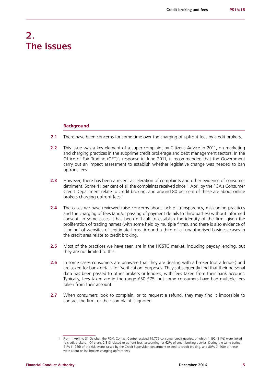## **2. The issues**

#### **Background**

- **2.1** There have been concerns for some time over the charging of upfront fees by credit brokers.
- **2.2** This issue was a key element of a super-complaint by Citizens Advice in 2011, on marketing and charging practices in the subprime credit brokerage and debt management sectors. In the Office of Fair Trading (OFT)'s response in June 2011, it recommended that the Government carry out an impact assessment to establish whether legislative change was needed to ban upfront fees.
- **2.3** However, there has been a recent acceleration of complaints and other evidence of consumer detriment. Some 41 per cent of all the complaints received since 1 April by the FCA's Consumer Credit Department relate to credit broking, and around 80 per cent of these are about online brokers charging upfront fees.<sup>1</sup>
- **2.4** The cases we have reviewed raise concerns about lack of transparency, misleading practices and the charging of fees (and/or passing of payment details to third parties) without informed consent. In some cases it has been difficult to establish the identity of the firm, given the proliferation of trading names (with some held by multiple firms), and there is also evidence of 'cloning' of websites of legitimate firms. Around a third of all unauthorised business cases in the credit area relate to credit broking.
- **2.5** Most of the practices we have seen are in the HCSTC market, including payday lending, but they are not limited to this.
- **2.6** In some cases consumers are unaware that they are dealing with a broker (not a lender) and are asked for bank details for 'verification' purposes. They subsequently find that their personal data has been passed to other brokers or lenders, with fees taken from their bank account. Typically, fees taken are in the range £50-£75, but some consumers have had multiple fees taken from their account.
- **2.7** When consumers look to complain, or to request a refund, they may find it impossible to contact the firm, or their complaint is ignored.

<sup>1</sup> From 1 April to 31 October, the FCA's Contact Centre received 19,776 consumer credit queries, of which 4,192 (21%) were linked to credit brokers... Of these, 2,813 related to upfront fees, accounting for 62% of credit broking queries. During the same period, 41% (1,766) of the risk events raised by the Credit Supervision department related to credit broking, and 80% (1,400) of these were about online brokers charging upfront fees.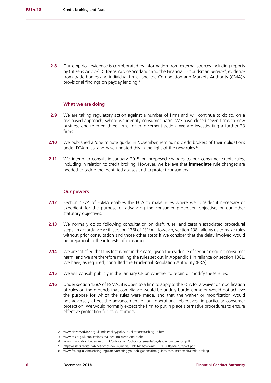**2.8** Our empirical evidence is corroborated by information from external sources including reports by Citizens Advice<sup>2</sup>, Citizens Advice Scotland<sup>3</sup> and the Financial Ombudsman Service<sup>4</sup>, evidence from trade bodies and individual firms, and the Competition and Markets Authority (CMA)'s provisional findings on payday lending.5

#### **What we are doing**

- **2.9** We are taking regulatory action against a number of firms and will continue to do so, on a risk-based approach, where we identify consumer harm. We have closed seven firms to new business and referred three firms for enforcement action. We are investigating a further 23 firms.
- **2.10** We published a 'one minute quide' in November, reminding credit brokers of their obligations under FCA rules, and have updated this in the light of the new rules.<sup>6</sup>
- **2.11** We intend to consult in January 2015 on proposed changes to our consumer credit rules, including in relation to credit broking. However, we believe that **immediate** rule changes are needed to tackle the identified abuses and to protect consumers.

#### **Our powers**

- **2.12** Section 137A of FSMA enables the FCA to make rules where we consider it necessary or expedient for the purpose of advancing the consumer protection objective, or our other statutory objectives.
- **2.13** We normally do so following consultation on draft rules, and certain associated procedural steps, in accordance with section 138I of FSMA. However, section 138L allows us to make rules without prior consultation and those other steps if we consider that the delay involved would be prejudicial to the interests of consumers.
- **2.14** We are satisfied that this test is met in this case, given the evidence of serious ongoing consumer harm, and we are therefore making the rules set out in Appendix 1 in reliance on section 138L. We have, as required, consulted the Prudential Regulation Authority (PRA).
- **2.15** We will consult publicly in the January CP on whether to retain or modify these rules.
- **2.16** Under section 138A of FSMA, it is open to a firm to apply to the FCA for a waiver or modification of rules on the grounds that compliance would be unduly burdensome or would not achieve the purpose for which the rules were made, and that the waiver or modification would not adversely affect the advancement of our operational objectives, in particular consumer protection. We would normally expect the firm to put in place alternative procedures to ensure effective protection for its customers.

<sup>2</sup> [www.citizensadvice.org.uk/index/policy/policy\\_publications/cashing\\_in.htm](http://www.citizensadvice.org.uk/index/policy/policy_publications/cashing_in.htm)

<sup>3</sup> [www.cas.org.uk/publications/real-deal-no-credit-and-broke](http://www.cas.org.uk/publications/real-deal-no-credit-and-broke)

<sup>4</sup> [www.financial-ombudsman.org.uk/publications/policy-statements/payday\\_lending\\_report.pdf](http://www.financial-ombudsman.org.uk/publications/policy-statements/payday_lending_report.pdf)

<sup>5</sup> [https://assets.digital.cabinet-office.gov.uk/media/539b1d16e5274a103100000a/Main\\_report.pdf](https://assets.digital.cabinet-office.gov.uk/media/539b1d16e5274a103100000a/Main_report.pdf)

<sup>6</sup> [www.fca.org.uk/firms/being-regulated/meeting-your-obligations/firm-guides/consumer-credit/credit-broking](http:// www.fca.org.uk/firms/being-regulated/meeting-your-obligations/firm-guides/consumer-credit/credit-b)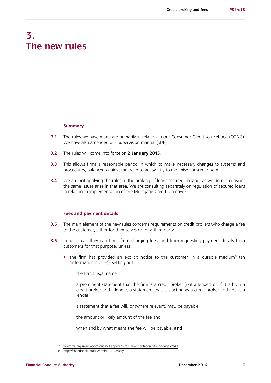# **3. The new rules**

#### **Summary**

- **3.1** The rules we have made are primarily in relation to our Consumer Credit sourcebook (CONC). We have also amended our Supervision manual (SUP).
- **3.2** The rules will come into force on **2 January 2015**.
- **3.3** This allows firms a reasonable period in which to make necessary changes to systems and procedures, balanced against the need to act swiftly to minimise consumer harm.
- **3.4** We are not applying the rules to the broking of loans secured on land, as we do not consider the same issues arise in that area. We are consulting separately on regulation of secured loans in relation to implementation of the Mortgage Credit Directive.<sup>7</sup>

#### **Fees and payment details**

- **3.5** The main element of the new rules concerns requirements on credit brokers who charge a fee to the customer, either for themselves or for a third party.
- **3.6** In particular, they ban firms from charging fees, and from requesting payment details from customers for that purpose, unless:
	- the firm has provided an explicit notice to the customer, in a durable medium<sup>8</sup> (an 'information notice'), setting out:
		- **–** the firm's legal name
		- **–** a prominent statement that the firm is a credit broker (not a lender) or, if it is both a credit broker and a lender, a statement that it is acting as a credit broker and not as a lender
		- **–** a statement that a fee will, or (where relevant) may, be payable
		- **–** the amount or likely amount of the fee and
		- **–** when and by what means the fee will be payable, **and**

<sup>7</sup> [www.fca.org.uk/news/fca-outlines-approach-for-implementation-of-mortgage-credit](http://www.fca.org.uk/news/fca-outlines-approach-for-implementation-of-mortgage-credit)

<sup>8</sup> <http://fshandbook.info/FS/html/FCA/Glossary>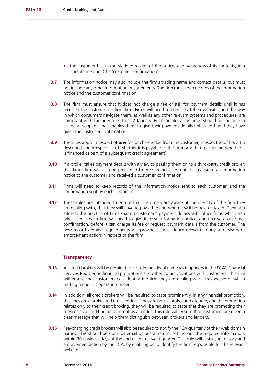- the customer has acknowledged receipt of the notice, and awareness of its contents, in a durable medium (the 'customer confirmation')
- **3.7** The information notice may also include the firm's trading name and contact details, but must not include any other information or statements. The firm must keep records of the information notice and the customer confirmation.
- **3.8** The firm must ensure that it does not charge a fee or ask for payment details until it has received the customer confirmation. Firms will need to check that their websites and the way in which consumers navigate them, as well as any other relevant systems and procedures, are compliant with the new rules from 2 January. For example, a customer should not be able to access a webpage that enables them to give their payment details unless and until they have given the customer confirmation.
- **3.9** The rules apply in respect of **any** fee or charge due from the customer, irrespective of how it is described and irrespective of whether it is payable to the firm or a third party (and whether it is financed as part of a subsequent credit agreement).
- **3.10** If a broker takes payment details with a view to passing them on to a third-party credit broker, that latter firm will also be precluded from charging a fee until it has issued an information notice to the customer and received a customer confirmation.
- **3.11** Firms will need to keep records of the information notice sent to each customer, and the confirmation sent by each customer.
- **3.12** These rules are intended to ensure that customers are aware of the identity of the firm they are dealing with, that they will have to pay a fee and when it will be paid or taken. They also address the practice of firms sharing customers' payment details with other firms which also take a fee – each firm will need to give its own information notice, and receive a customer confirmation, before it can charge its fee or request payment details from the customer. The new record-keeping requirements will provide clear evidence relevant to any supervisory or enforcement action in respect of the firm.

#### **Transparency**

- **3.13** All credit brokers will be required to include their legal name (as it appears in the FCA's Financial Services Register) in financial promotions and other communications with customers. This rule will ensure that customers can identify the firm they are dealing with, irrespective of which trading name it is operating under.
- **3.14** In addition, all credit brokers will be required to state prominently, in any financial promotion, that they are a broker and not a lender. If they are both a broker and a lender, and the promotion relates only to their credit broking, they will be required to state that they are promoting their services as a credit broker and not as a lender. This rule will ensure that customers are given a clear message that will help them distinguish between brokers and lenders.
- **3.15** Fee-charging credit brokers will also be required to notify the FCA quarterly of their web domain names. This should be done by email or postal return, setting out the required information, within 30 business days of the end of the relevant quarter. This rule will assist supervisory and enforcement action by the FCA, by enabling us to identify the firm responsible for the relevant website.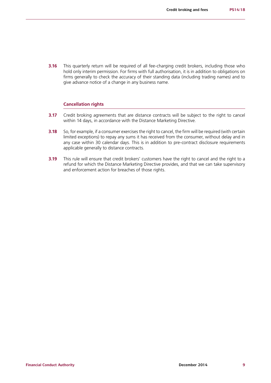**3.16** This quarterly return will be required of all fee-charging credit brokers, including those who hold only interim permission. For firms with full authorisation, it is in addition to obligations on firms generally to check the accuracy of their standing data (including trading names) and to give advance notice of a change in any business name.

#### **Cancellation rights**

- **3.17** Credit broking agreements that are distance contracts will be subject to the right to cancel within 14 days, in accordance with the Distance Marketing Directive.
- **3.18** So, for example, if a consumer exercises the right to cancel, the firm will be required (with certain limited exceptions) to repay any sums it has received from the consumer, without delay and in any case within 30 calendar days. This is in addition to pre-contract disclosure requirements applicable generally to distance contracts.
- **3.19** This rule will ensure that credit brokers' customers have the right to cancel and the right to a refund for which the Distance Marketing Directive provides, and that we can take supervisory and enforcement action for breaches of those rights.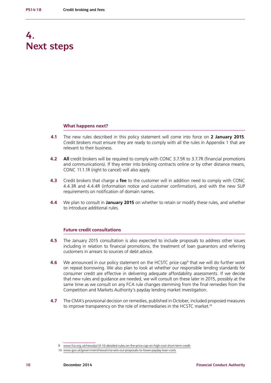# **4. Next steps**

#### **What happens next?**

- **4.1** The new rules described in this policy statement will come into force on **2 January 2015**. Credit brokers must ensure they are ready to comply with all the rules in Appendix 1 that are relevant to their business.
- **4.2 All** credit brokers will be required to comply with CONC 3.7.5R to 3.7.7R (financial promotions and communications). If they enter into broking contracts online or by other distance means, CONC 11.1.1R (right to cancel) will also apply.
- **4.3** Credit brokers that charge a **fee** to the customer will in addition need to comply with CONC 4.4.3R and 4.4.4R (information notice and customer confirmation), and with the new SUP requirements on notification of domain names.
- **4.4** We plan to consult in **January 2015** on whether to retain or modify these rules, and whether to introduce additional rules.

#### **Future credit consultations**

- **4.5** The January 2015 consultation is also expected to include proposals to address other issues including in relation to financial promotions, the treatment of loan guarantors and referring customers in arrears to sources of debt advice.
- **4.6** We announced in our policy statement on the HCSTC price cap<sup>9</sup> that we will do further work on repeat borrowing. We also plan to look at whether our responsible lending standards for consumer credit are effective in delivering adequate affordability assessments. If we decide that new rules and guidance are needed, we will consult on these later in 2015, possibly at the same time as we consult on any FCA rule changes stemming from the final remedies from the Competition and Markets Authority's payday lending market investigation.
- **4.7** The CMA's provisional decision on remedies, published in October, included proposed measures to improve transparency on the role of intermediaries in the HCSTC market.<sup>10</sup>

<sup>9</sup> [www.fca.org.uk/news/ps14-16-detailed-rules-on-the-price-cap-on-high-cost-short-term-credit](http://www.fca.org.uk/news/ps14-16-detailed-rules-on-the-price-cap-on-high-cost-short-term-credit)

<sup>10</sup> [www.gov.uk/government/news/cma-sets-out-proposals-to-lower-payday-loan-costs](http://www.gov.uk/government/news/cma-sets-out-proposals-to-lower-payday-loan-costs)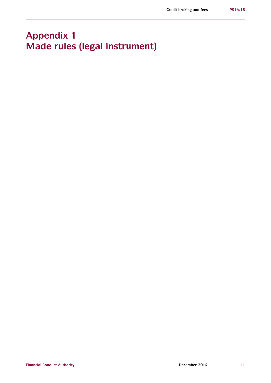# **Appendix 1 Made rules (legal instrument)**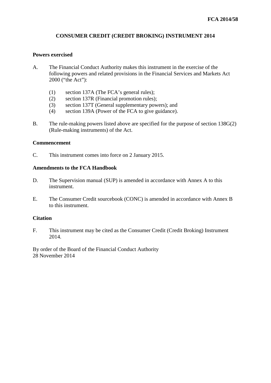#### **CONSUMER CREDIT (CREDIT BROKING) INSTRUMENT 2014**

#### **Powers exercised**

- A. The Financial Conduct Authority makes this instrument in the exercise of the following powers and related provisions in the Financial Services and Markets Act 2000 ("the Act"):
	- (1) section 137A (The FCA's general rules);
	- (2) section 137R (Financial promotion rules);
	- (3) section 137T (General supplementary powers); and
	- (4) section 139A (Power of the FCA to give guidance).
- B. The rule-making powers listed above are specified for the purpose of section 138G(2) (Rule-making instruments) of the Act.

#### **Commencement**

C. This instrument comes into force on 2 January 2015.

#### **Amendments to the FCA Handbook**

- D. The Supervision manual (SUP) is amended in accordance with Annex A to this instrument.
- E. The Consumer Credit sourcebook (CONC) is amended in accordance with Annex B to this instrument.

#### **Citation**

F. This instrument may be cited as the Consumer Credit (Credit Broking) Instrument 2014.

By order of the Board of the Financial Conduct Authority 28 November 2014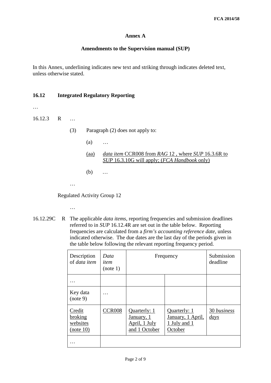#### **Annex A**

#### **Amendments to the Supervision manual (SUP)**

In this Annex, underlining indicates new text and striking through indicates deleted text, unless otherwise stated.

#### **16.12 Integrated Regulatory Reporting**

…

16.12.3 R …

- (3) Paragraph (2) does not apply to:
	- (a) …
	- (aa) *data item* CCR008 from *RAG* 12 , where *SUP* 16.3.6R to *SUP* 16.3.10G will apply; (*FCA Handbook* only)
	- (b) *…*
- …

Regulated Activity Group 12

…

16.12.29C R The applicable *data items*, reporting frequencies and submission deadlines referred to in *SUP* 16.12.4R are set out in the table below. Reporting frequencies are calculated from a *firm's accounting reference date*, unless indicated otherwise. The due dates are the last day of the periods given in the table below following the relevant reporting frequency period.

| Description<br>of <i>data item</i>                  | Data<br>item<br>(note 1) | Frequency                                                    |                                                              | Submission<br>deadline          |
|-----------------------------------------------------|--------------------------|--------------------------------------------------------------|--------------------------------------------------------------|---------------------------------|
|                                                     |                          |                                                              |                                                              |                                 |
| Key data<br>(note 9)                                |                          |                                                              |                                                              |                                 |
| Credit<br><b>broking</b><br>websites<br>$(note 10)$ | <b>CCR008</b>            | Quarterly: 1<br>January, 1<br>April, 1 July<br>and 1 October | Quarterly: 1<br>January, 1 April,<br>1 July and 1<br>October | 30 business<br>$\frac{days}{9}$ |
|                                                     |                          |                                                              |                                                              |                                 |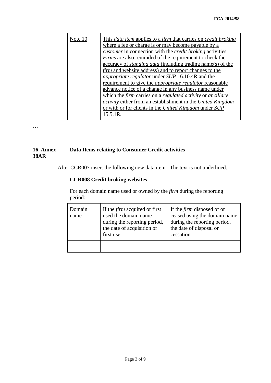| Note 10 | This <i>data item</i> applies to a <i>firm</i> that carries on <i>credit broking</i> |  |  |  |  |
|---------|--------------------------------------------------------------------------------------|--|--|--|--|
|         | where a fee or charge is or may become payable by a                                  |  |  |  |  |
|         | <i>customer</i> in connection with the <i>credit broking</i> activities.             |  |  |  |  |
|         | Firms are also reminded of the requirement to check the                              |  |  |  |  |
|         | accuracy of <i>standing data</i> (including trading name(s) of the                   |  |  |  |  |
|         | <i>firm</i> and website address) and to report changes to the                        |  |  |  |  |
|         | <i>appropriate regulator</i> under <i>SUP</i> 16.10.4R and the                       |  |  |  |  |
|         | requirement to give the <i>appropriate regulator</i> reasonable                      |  |  |  |  |
|         | advance notice of a change in any business name under                                |  |  |  |  |
|         | which the firm carries on a regulated activity or ancillary                          |  |  |  |  |
|         | <i>activity</i> either from an establishment in the United Kingdom                   |  |  |  |  |
|         | or with or for clients in the United Kingdom under SUP                               |  |  |  |  |
|         | 15.5.1R.                                                                             |  |  |  |  |
|         |                                                                                      |  |  |  |  |

…

#### **16 Annex 38AR Data Items relating to Consumer Credit activities**

After CCR007 insert the following new data item. The text is not underlined.

#### **CCR008 Credit broking websites**

For each domain name used or owned by the *firm* during the reporting period:

| Domain<br>name | If the <i>firm</i> acquired or first<br>used the domain name<br>during the reporting period,<br>the date of acquisition or<br>first use | If the <i>firm</i> disposed of or<br>ceased using the domain name<br>during the reporting period,<br>the date of disposal or<br>cessation |
|----------------|-----------------------------------------------------------------------------------------------------------------------------------------|-------------------------------------------------------------------------------------------------------------------------------------------|
|                |                                                                                                                                         |                                                                                                                                           |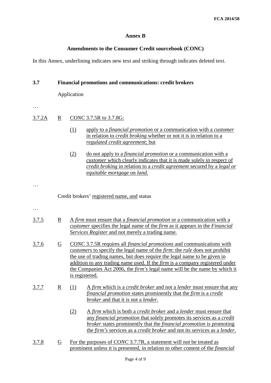#### **Annex B**

#### **Amendments to the Consumer Credit sourcebook (CONC)**

In this Annex, underlining indicates new text and striking through indicates deleted text.

| 3.7          | <b>Financial promotions and communications: credit brokers</b> |                               |                                                                                                                                                                                                                                                                                                                                                                                                                                                                    |  |  |
|--------------|----------------------------------------------------------------|-------------------------------|--------------------------------------------------------------------------------------------------------------------------------------------------------------------------------------------------------------------------------------------------------------------------------------------------------------------------------------------------------------------------------------------------------------------------------------------------------------------|--|--|
|              | Application                                                    |                               |                                                                                                                                                                                                                                                                                                                                                                                                                                                                    |  |  |
|              |                                                                |                               |                                                                                                                                                                                                                                                                                                                                                                                                                                                                    |  |  |
| 3.7.2A       | $\overline{\mathbf{R}}$                                        | <b>CONC 3.7.5R to 3.7.8G:</b> |                                                                                                                                                                                                                                                                                                                                                                                                                                                                    |  |  |
|              |                                                                | (1)                           | apply to a <i>financial promotion</i> or a communication with a <i>customer</i><br>in relation to <i>credit broking</i> whether or not it is in relation to a<br>regulated credit agreement; but                                                                                                                                                                                                                                                                   |  |  |
|              |                                                                | (2)                           | do not apply to a <i>financial promotion</i> or a communication with a<br><i>customer</i> which clearly indicates that it is made solely in respect of<br>credit broking in relation to a credit agreement secured by a legal or<br><i>equitable mortgage on land.</i>                                                                                                                                                                                             |  |  |
|              |                                                                |                               |                                                                                                                                                                                                                                                                                                                                                                                                                                                                    |  |  |
|              |                                                                |                               | Credit brokers' registered name, and status                                                                                                                                                                                                                                                                                                                                                                                                                        |  |  |
|              |                                                                |                               |                                                                                                                                                                                                                                                                                                                                                                                                                                                                    |  |  |
| <u>3.7.5</u> | $\overline{\mathbf{R}}$                                        |                               | A firm must ensure that a financial promotion or a communication with a<br>customer specifies the legal name of the firm as it appears in the Financial<br>Services Register and not merely a trading name.                                                                                                                                                                                                                                                        |  |  |
| 3.7.6        | $\overline{G}$                                                 |                               | <b>CONC</b> 3.7.5R requires all <i>financial promotions</i> and communications with<br><i>customers</i> to specify the legal name of the <i>firm</i> : the <i>rule</i> does not prohibit<br>the use of trading names, but does require the legal name to be given in<br>addition to any trading name used. If the <i>firm</i> is a company registered under<br>the Companies Act 2006, the <i>firm's</i> legal name will be the name by which it<br>is registered. |  |  |
| 3.7.7        | $\underline{R}$                                                | (1)                           | A firm which is a credit broker and not a lender must ensure that any<br><i>financial promotion</i> states prominently that the <i>firm</i> is a <i>credit</i><br>broker and that it is not a lender.                                                                                                                                                                                                                                                              |  |  |
|              |                                                                | (2)                           | A firm which is both a credit broker and a lender must ensure that<br>any financial promotion that solely promotes its services as a credit<br><i>broker</i> states prominently that the <i>financial promotion</i> is promoting<br>the firm's services as a credit broker and not its services as a lender.                                                                                                                                                       |  |  |
| <u>3.7.8</u> | $\overline{G}$                                                 |                               | For the purposes of <i>CONC</i> 3.7.7R, a statement will not be treated as<br>prominent unless it is presented, in relation to other content of the <i>financial</i>                                                                                                                                                                                                                                                                                               |  |  |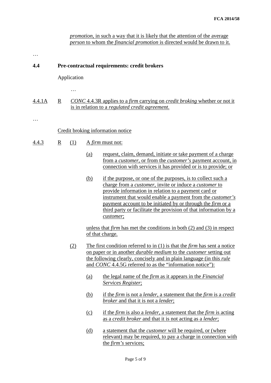#### *promotion*, in such a way that it is likely that the attention of the average *person* to whom the *financial promotion* is directed would be drawn to it.

…

#### **4.4 Pre-contractual requirements: credit brokers**

#### Application

…

#### 4.4.1A R *CONC* 4.4.3R applies to a *firm* carrying on *credit broking* whether or not it is in relation to a *regulated credit agreement*.

…

#### Credit broking information notice

- 4.4.3 R (1) A *firm* must not:
	- (a) request, claim, demand, initiate or take payment of a charge from a *customer*, or from the *customer's* payment account, in connection with services it has provided or is to provide; or
	- (b) if the purpose, or one of the purposes, is to collect such a charge from a *customer*, invite or induce a *customer* to provide information in relation to a payment card or instrument that would enable a payment from the *customer's* payment account to be initiated by or through the *firm* or a third party or facilitate the provision of that information by a *customer*;

unless that *firm* has met the conditions in both (2) and (3) in respect of that charge.

- (2) The first condition referred to in (1) is that the *firm* has sent a notice on paper or in another *durable medium* to the *customer* setting out the following clearly, concisely and in plain language (in this *rule* and *CONC* 4.4.5G referred to as the "information notice"):
	- (a) the legal name of the *firm* as it appears in the *Financial Services Register*;
	- (b) if the *firm* is not a *lender*, a statement that the *firm* is a *credit broker* and that it is not a *lender*;
	- (c) if the *firm* is also a *lender*, a statement that the *firm* is acting as a *credit broker* and that it is not acting as a *lender*;
	- (d) a statement that the *customer* will be required, or (where relevant) may be required, to pay a charge in connection with the *firm's* services;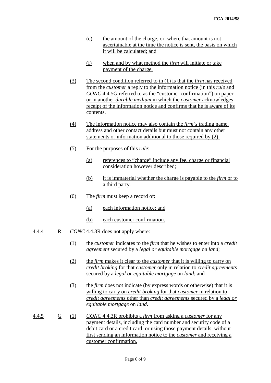- (e) the amount of the charge, or, where that amount is not ascertainable at the time the notice is sent, the basis on which it will be calculated; and
- (f) when and by what method the *firm* will initiate or take payment of the charge.
- (3) The second condition referred to in (1) is that the *firm* has received from the *customer* a reply to the information notice (in this *rule* and *CONC* 4.4.5G referred to as the "customer confirmation") on paper or in another *durable medium* in which the *customer* acknowledges receipt of the information notice and confirms that he is aware of its contents.
- (4) The information notice may also contain the *firm's* trading name, address and other contact details but must not contain any other statements or information additional to those required by (2).
- (5) For the purposes of this *rule*:
	- (a) references to "charge" include any fee, charge or financial consideration however described;
	- (b) it is immaterial whether the charge is payable to the *firm* or to a third party.
- (6) The *firm* must keep a record of:
	- (a) each information notice; and
	- (b) each customer confirmation.
- 4.4.4 R *CONC* 4.4.3R does not apply where:
	- (1) the *customer* indicates to the *firm* that he wishes to enter into a *credit agreement* secured by a *legal or equitable mortgage* on *land*;
	- (2) the *firm* makes it clear to the *customer* that it is willing to carry on *credit broking* for that *customer* only in relation to *credit agreements* secured by a *legal or equitable mortgage* on *land*; and
	- (3) the *firm* does not indicate (by express words or otherwise) that it is willing to carry on *credit broking* for that *customer* in relation to *credit agreements* other than *credit agreements* secured by a *legal or equitable mortgage* on *land*.
- 4.4.5 G (1) *CONC* 4.4.3R prohibits a *firm* from asking a *customer* for any payment details, including the card number and security code of a debit card or a credit card, or using those payment details, without first sending an information notice to the *customer* and receiving a customer confirmation.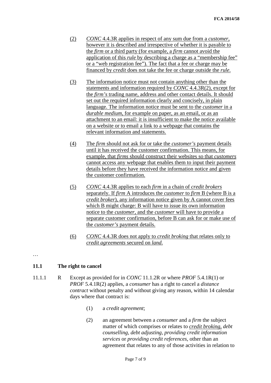- (2) *CONC* 4.4.3R applies in respect of any sum due from a *customer*, however it is described and irrespective of whether it is payable to the *firm* or a third party (for example, a *firm* cannot avoid the application of this *rule* by describing a charge as a "membership fee" or a "web registration fee"). The fact that a fee or charge may be financed by *credit* does not take the fee or charge outside the *rule*.
- (3) The information notice must not contain anything other than the statements and information required by *CONC* 4.4.3R(2), except for the *firm's* trading name, address and other contact details. It should set out the required information clearly and concisely, in plain language. The information notice must be sent to the *customer* in a *durable medium*, for example on paper, as an email, or as an attachment to an email: it is insufficient to make the notice available on a website or to email a link to a webpage that contains the relevant information and statements.
- (4) The *firm* should not ask for or take the *customer's* payment details until it has received the customer confirmation. This means, for example, that *firms* should construct their websites so that *customers* cannot access any webpage that enables them to input their payment details before they have received the information notice and given the customer confirmation.
- (5) *CONC* 4.4.3R applies to each *firm* in a chain of *credit brokers* separately. If *firm* A introduces the *customer* to *firm* B (where B is a *credit broker*), any information notice given by A cannot cover fees which B might charge: B will have to issue its own information notice to the *customer*, and the *customer* will have to provide a separate customer confirmation, before B can ask for or make use of the *customer's* payment details.
- (6) *CONC* 4.4.3R does not apply to *credit broking* that relates only to *credit agreements* secured on *land*.

…

#### **11.1 The right to cancel**

- 11.1.1 R Except as provided for in *CONC* 11.1.2R or where *PROF* 5.4.1R(1) or *PROF* 5.4.1R(2) applies, a *consumer* has a right to cancel a *distance contract* without penalty and without giving any reason, within 14 calendar days where that contract is:
	- (1) a *credit agreement*;
	- (2) an agreement between a *consumer* and a *firm* the subject matter of which comprises or relates to *credit broking*, *debt counselling*, *debt adjusting*, *providing credit information services* or *providing credit references*, other than an agreement that relates to any of those activities in relation to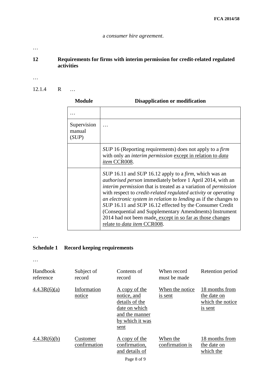…

#### **12 Requirements for firms with interim permission for credit-related regulated activities**

- …
- 12.1.4 R …

| <b>Module</b>                  | <b>Disapplication or modification</b>                                                                                                                                                                                                                                                                                                                                                                                                                                                                                                                                       |  |  |  |
|--------------------------------|-----------------------------------------------------------------------------------------------------------------------------------------------------------------------------------------------------------------------------------------------------------------------------------------------------------------------------------------------------------------------------------------------------------------------------------------------------------------------------------------------------------------------------------------------------------------------------|--|--|--|
|                                |                                                                                                                                                                                                                                                                                                                                                                                                                                                                                                                                                                             |  |  |  |
| Supervision<br>manual<br>(SUP) |                                                                                                                                                                                                                                                                                                                                                                                                                                                                                                                                                                             |  |  |  |
|                                | SUP 16 (Reporting requirements) does not apply to a firm<br>with only an <i>interim permission</i> except in relation to <i>data</i><br>item CCR008.                                                                                                                                                                                                                                                                                                                                                                                                                        |  |  |  |
|                                | SUP 16.11 and SUP 16.12 apply to a <i>firm</i> , which was an<br><i>authorised person</i> immediately before 1 April 2014, with an<br>interim permission that is treated as a variation of permission<br>with respect to <i>credit-related regulated activity</i> or <i>operating</i><br>an electronic system in relation to lending as if the changes to<br>SUP 16.11 and SUP 16.12 effected by the Consumer Credit<br>(Consequential and Supplementary Amendments) Instrument<br>2014 had not been made, except in so far as those changes<br>relate to data item CCR008. |  |  |  |

#### …

#### **Schedule 1 Record keeping requirements**

…

| Handbook<br>reference | Subject of<br>record     | Contents of<br>record                                                                                        | When record<br>must be made | Retention period                                             |
|-----------------------|--------------------------|--------------------------------------------------------------------------------------------------------------|-----------------------------|--------------------------------------------------------------|
| 4.4.3R(6)(a)          | Information<br>notice    | A copy of the<br>notice, and<br>details of the<br>date on which<br>and the manner<br>by which it was<br>sent | When the notice<br>is sent  | 18 months from<br>the date on<br>which the notice<br>is sent |
| 4.4.3R(6)(b)          | Customer<br>confirmation | A copy of the<br>confirmation,<br>and details of<br>Page 8 of 9                                              | When the<br>confirmation is | 18 months from<br>the date on<br>which the                   |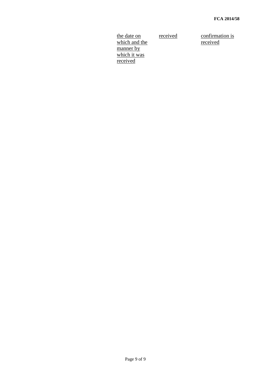the date on which and the manner by which it was received

received confirmation is received